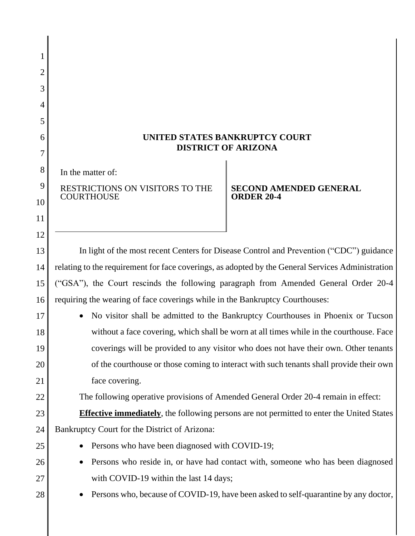| 1<br>2<br>3<br>4<br>5<br>6<br>7 | UNITED STATES BANKRUPTCY COURT<br><b>DISTRICT OF ARIZONA</b>                                               |
|---------------------------------|------------------------------------------------------------------------------------------------------------|
| 8                               | In the matter of:                                                                                          |
| 9<br>10<br>11<br>12             | RESTRICTIONS ON VISITORS TO THE<br><b>SECOND AMENDED GENERAL</b><br><b>COURTHOUSE</b><br><b>ORDER 20-4</b> |
| 13                              | In light of the most recent Centers for Disease Control and Prevention ("CDC") guidance                    |
| 14                              | relating to the requirement for face coverings, as adopted by the General Services Administration          |
| 15                              | ("GSA"), the Court rescinds the following paragraph from Amended General Order 20-4                        |
| 16                              | requiring the wearing of face coverings while in the Bankruptcy Courthouses:                               |
| 17                              | No visitor shall be admitted to the Bankruptcy Courthouses in Phoenix or Tucson                            |
| 18                              | without a face covering, which shall be worn at all times while in the courthouse. Face                    |
| 19                              | coverings will be provided to any visitor who does not have their own. Other tenants                       |
| 20                              | of the courthouse or those coming to interact with such tenants shall provide their own                    |
| 21                              | face covering.                                                                                             |
| 22                              | The following operative provisions of Amended General Order 20-4 remain in effect:                         |
| 23                              | <b>Effective immediately</b> , the following persons are not permitted to enter the United States          |
| 24                              | Bankruptcy Court for the District of Arizona:<br>Persons who have been diagnosed with COVID-19;            |
| 25<br>26                        | Persons who reside in, or have had contact with, someone who has been diagnosed                            |
| 27                              | with COVID-19 within the last 14 days;                                                                     |
| 28                              | Persons who, because of COVID-19, have been asked to self-quarantine by any doctor,                        |